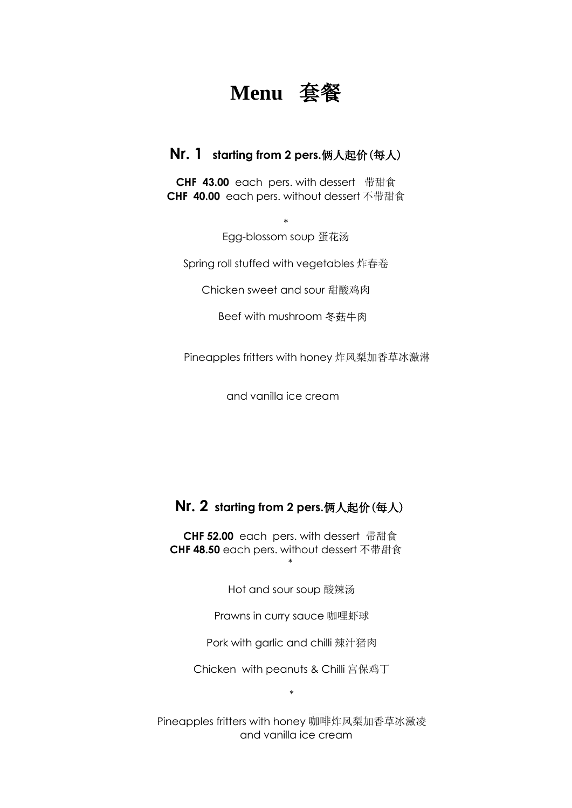## **Menu** 套餐

## **Nr. 1 starting from 2 pers.**俩人起价(每人)

**CHF 43.00** each pers. with dessert 带甜食 **CHF 40.00** each pers. without dessert 不带甜食

> \* Egg-blossom soup 蛋花汤

Spring roll stuffed with vegetables 炸春卷

Chicken sweet and sour 甜酸鸡肉

Beef with mushroom 冬菇牛肉

Pineapples fritters with honey 炸风梨加香草冰激淋

and vanilla ice cream

## **Nr. 2 starting from 2 pers.**俩人起价(每人)

**CHF 52.00** each pers. with dessert 带甜食 **CHF 48.50** each pers. without dessert 不带甜食 \*

Hot and sour soup 酸辣汤

Prawns in curry sauce 咖哩虾球

Pork with garlic and chilli 辣汁猪肉

Chicken with peanuts & Chilli 宫保鸡丁

\*

Pineapples fritters with honey 咖啡炸风梨加香草冰激凌 and vanilla ice cream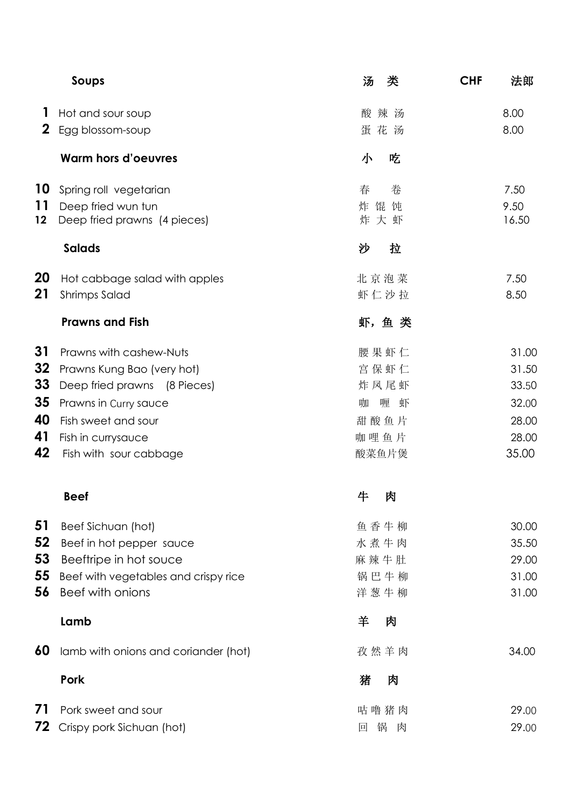|              | Soups                                              | 汤<br>类                 | <b>CHF</b> | 法郎            |
|--------------|----------------------------------------------------|------------------------|------------|---------------|
| H            | Hot and sour soup                                  | 酸辣汤                    |            | 8.00          |
| $\mathbf{2}$ | Egg blossom-soup                                   | 蛋花汤                    |            | 8.00          |
|              | <b>Warm hors d'oeuvres</b>                         | 小<br>吃                 |            |               |
| 10           | Spring roll vegetarian                             | 春<br>卷                 |            | 7.50          |
| 11<br>12     | Deep fried wun tun<br>Deep fried prawns (4 pieces) | 馄<br>饨<br>炸<br>大虾<br>炸 |            | 9.50<br>16.50 |
|              | <b>Salads</b>                                      | 沙<br>拉                 |            |               |
|              |                                                    |                        |            |               |
| 20           | Hot cabbage salad with apples                      | 北京泡菜                   |            | 7.50          |
| 21           | <b>Shrimps Salad</b>                               | 虾仁沙拉                   |            | 8.50          |
|              | <b>Prawns and Fish</b>                             | 虾,鱼 类                  |            |               |
| 31           | Prawns with cashew-Nuts                            | 腰果虾仁                   |            | 31.00         |
| 32           | Prawns Kung Bao (very hot)                         | 宫保虾仁                   |            | 31.50         |
| 33           | Deep fried prawns (8 Pieces)                       | 炸凤尾虾                   |            | 33.50         |
| 35           | Prawns in Curry sauce                              | 咖<br>喱<br>虾            |            | 32.00         |
| 40           | Fish sweet and sour                                | 甜酸鱼片                   |            | 28.00         |
| 41           | Fish in currysauce                                 | 咖哩鱼片                   |            | 28.00         |
| 42           | Fish with sour cabbage                             | 酸菜鱼片煲                  |            | 35.00         |
|              | <b>Beef</b>                                        | 牛<br>肉                 |            |               |
| 51           | Beef Sichuan (hot)                                 | 鱼香牛柳                   |            | 30.00         |
| 52           | Beef in hot pepper sauce                           | 水煮牛肉                   |            | 35.50         |
| 53           | Beeftripe in hot souce                             | 麻辣牛肚                   |            | 29.00         |
| 55           | Beef with vegetables and crispy rice               | 锅巴牛柳                   |            | 31.00         |
| 56           | Beef with onions                                   | 洋葱牛柳                   |            | 31.00         |
|              | Lamb                                               | 羊<br>肉                 |            |               |
| 60           | lamb with onions and coriander (hot)               | 孜然羊肉                   |            | 34.00         |
|              | Pork                                               | 猪<br>肉                 |            |               |
| 71           | Pork sweet and sour                                | 咕噜猪肉                   |            | 29.00         |
| 72           | Crispy pork Sichuan (hot)                          | 锅<br>肉<br>回            |            | 29.00         |
|              |                                                    |                        |            |               |